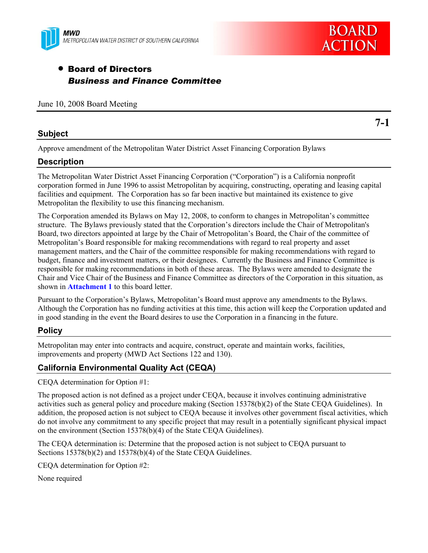



**7-1** 

# • Board of Directors *Business and Finance Committee*

|  |  |  | June 10, 2008 Board Meeting |
|--|--|--|-----------------------------|
|--|--|--|-----------------------------|

# **Subject**

Approve amendment of the Metropolitan Water District Asset Financing Corporation Bylaws

## **Description**

The Metropolitan Water District Asset Financing Corporation ("Corporation") is a California nonprofit corporation formed in June 1996 to assist Metropolitan by acquiring, constructing, operating and leasing capital facilities and equipment. The Corporation has so far been inactive but maintained its existence to give Metropolitan the flexibility to use this financing mechanism.

The Corporation amended its Bylaws on May 12, 2008, to conform to changes in Metropolitan's committee structure. The Bylaws previously stated that the Corporation's directors include the Chair of Metropolitan's Board, two directors appointed at large by the Chair of Metropolitan's Board, the Chair of the committee of Metropolitan's Board responsible for making recommendations with regard to real property and asset management matters, and the Chair of the committee responsible for making recommendations with regard to budget, finance and investment matters, or their designees. Currently the Business and Finance Committee is responsible for making recommendations in both of these areas. The Bylaws were amended to designate the Chair and Vice Chair of the Business and Finance Committee as directors of the Corporation in this situation, as shown in **Attachment 1** to this board letter.

Pursuant to the Corporation's Bylaws, Metropolitan's Board must approve any amendments to the Bylaws. Although the Corporation has no funding activities at this time, this action will keep the Corporation updated and in good standing in the event the Board desires to use the Corporation in a financing in the future.

# **Policy**

Metropolitan may enter into contracts and acquire, construct, operate and maintain works, facilities, improvements and property (MWD Act Sections 122 and 130).

# **California Environmental Quality Act (CEQA)**

CEQA determination for Option #1:

The proposed action is not defined as a project under CEQA, because it involves continuing administrative activities such as general policy and procedure making (Section 15378(b)(2) of the State CEQA Guidelines). In addition, the proposed action is not subject to CEQA because it involves other government fiscal activities, which do not involve any commitment to any specific project that may result in a potentially significant physical impact on the environment (Section 15378(b)(4) of the State CEQA Guidelines).

The CEQA determination is: Determine that the proposed action is not subject to CEQA pursuant to Sections 15378(b)(2) and 15378(b)(4) of the State CEQA Guidelines.

CEQA determination for Option #2:

None required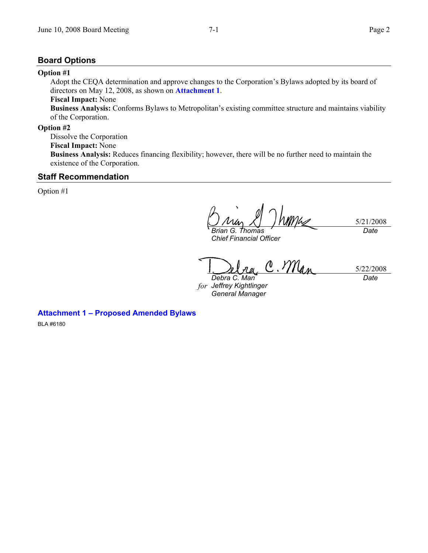### **Board Options**

#### **Option #1**

Adopt the CEQA determination and approve changes to the Corporation's Bylaws adopted by its board of directors on May 12, 2008, as shown on **Attachment 1**.

# **Fiscal Impact:** None

**Business Analysis:** Conforms Bylaws to Metropolitan's existing committee structure and maintains viability of the Corporation.

#### **Option #2**

Dissolve the Corporation

**Fiscal Impact:** None

**Business Analysis:** Reduces financing flexibility; however, there will be no further need to maintain the existence of the Corporation.

#### **Staff Recommendation**

Option #1

5/21/2008 *Brian G. Thomas Date* 

*Chief Financial Officer* 

 $\Lambda$ . Man 5/22/2008 *Debra C. Man Date* 

*for Jeffrey Kightlinger General Manager* 

**Attachment 1 – Proposed Amended Bylaws** 

BLA #6180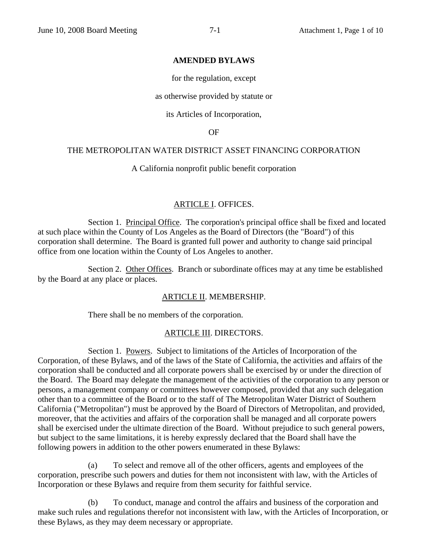#### **AMENDED BYLAWS**

for the regulation, except

as otherwise provided by statute or

its Articles of Incorporation,

OF

### THE METROPOLITAN WATER DISTRICT ASSET FINANCING CORPORATION

#### A California nonprofit public benefit corporation

#### ARTICLE I. OFFICES.

Section 1. Principal Office. The corporation's principal office shall be fixed and located at such place within the County of Los Angeles as the Board of Directors (the "Board") of this corporation shall determine. The Board is granted full power and authority to change said principal office from one location within the County of Los Angeles to another.

Section 2. Other Offices. Branch or subordinate offices may at any time be established by the Board at any place or places.

#### ARTICLE II. MEMBERSHIP.

There shall be no members of the corporation.

#### ARTICLE III. DIRECTORS.

Section 1. Powers. Subject to limitations of the Articles of Incorporation of the Corporation, of these Bylaws, and of the laws of the State of California, the activities and affairs of the corporation shall be conducted and all corporate powers shall be exercised by or under the direction of the Board. The Board may delegate the management of the activities of the corporation to any person or persons, a management company or committees however composed, provided that any such delegation other than to a committee of the Board or to the staff of The Metropolitan Water District of Southern California ("Metropolitan") must be approved by the Board of Directors of Metropolitan, and provided, moreover, that the activities and affairs of the corporation shall be managed and all corporate powers shall be exercised under the ultimate direction of the Board. Without prejudice to such general powers, but subject to the same limitations, it is hereby expressly declared that the Board shall have the following powers in addition to the other powers enumerated in these Bylaws:

(a) To select and remove all of the other officers, agents and employees of the corporation, prescribe such powers and duties for them not inconsistent with law, with the Articles of Incorporation or these Bylaws and require from them security for faithful service.

(b) To conduct, manage and control the affairs and business of the corporation and make such rules and regulations therefor not inconsistent with law, with the Articles of Incorporation, or these Bylaws, as they may deem necessary or appropriate.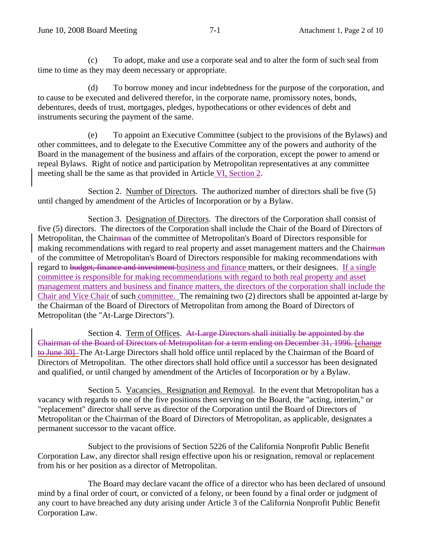(c) To adopt, make and use a corporate seal and to alter the form of such seal from time to time as they may deem necessary or appropriate.

(d) To borrow money and incur indebtedness for the purpose of the corporation, and to cause to be executed and delivered therefor, in the corporate name, promissory notes, bonds, debentures, deeds of trust, mortgages, pledges, hypothecations or other evidences of debt and instruments securing the payment of the same.

(e) To appoint an Executive Committee (subject to the provisions of the Bylaws) and other committees, and to delegate to the Executive Committee any of the powers and authority of the Board in the management of the business and affairs of the corporation, except the power to amend or repeal Bylaws. Right of notice and participation by Metropolitan representatives at any committee meeting shall be the same as that provided in Article VI, Section 2.

Section 2. Number of Directors. The authorized number of directors shall be five (5) until changed by amendment of the Articles of Incorporation or by a Bylaw.

Section 3. Designation of Directors. The directors of the Corporation shall consist of five (5) directors. The directors of the Corporation shall include the Chair of the Board of Directors of Metropolitan, the Chairman of the committee of Metropolitan's Board of Directors responsible for making recommendations with regard to real property and asset management matters and the Chairman of the committee of Metropolitan's Board of Directors responsible for making recommendations with regard to budget, finance and investment business and finance matters, or their designees. If a single committee is responsible for making recommendations with regard to both real property and asset management matters and business and finance matters, the directors of the corporation shall include the Chair and Vice Chair of such committee. The remaining two (2) directors shall be appointed at-large by the Chairman of the Board of Directors of Metropolitan from among the Board of Directors of Metropolitan (the "At-Large Directors").

Section 4. Term of Offices. At-Large Directors shall initially be appointed by the Chairman of the Board of Directors of Metropolitan for a term ending on December 31, 1996. [change to June 30] The At-Large Directors shall hold office until replaced by the Chairman of the Board of Directors of Metropolitan. The other directors shall hold office until a successor has been designated and qualified, or until changed by amendment of the Articles of Incorporation or by a Bylaw.

Section 5. Vacancies. Resignation and Removal. In the event that Metropolitan has a vacancy with regards to one of the five positions then serving on the Board, the "acting, interim," or "replacement" director shall serve as director of the Corporation until the Board of Directors of Metropolitan or the Chairman of the Board of Directors of Metropolitan, as applicable, designates a permanent successor to the vacant office.

Subject to the provisions of Section 5226 of the California Nonprofit Public Benefit Corporation Law, any director shall resign effective upon his or resignation, removal or replacement from his or her position as a director of Metropolitan.

The Board may declare vacant the office of a director who has been declared of unsound mind by a final order of court, or convicted of a felony, or been found by a final order or judgment of any court to have breached any duty arising under Article 3 of the California Nonprofit Public Benefit Corporation Law.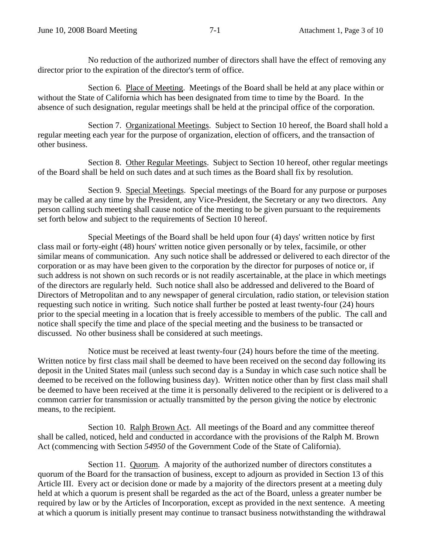No reduction of the authorized number of directors shall have the effect of removing any director prior to the expiration of the director's term of office.

Section 6. Place of Meeting. Meetings of the Board shall be held at any place within or without the State of California which has been designated from time to time by the Board. In the absence of such designation, regular meetings shall be held at the principal office of the corporation.

Section 7. Organizational Meetings. Subject to Section 10 hereof, the Board shall hold a regular meeting each year for the purpose of organization, election of officers, and the transaction of other business.

Section 8. Other Regular Meetings. Subject to Section 10 hereof, other regular meetings of the Board shall be held on such dates and at such times as the Board shall fix by resolution.

Section 9. Special Meetings. Special meetings of the Board for any purpose or purposes may be called at any time by the President, any Vice-President, the Secretary or any two directors. Any person calling such meeting shall cause notice of the meeting to be given pursuant to the requirements set forth below and subject to the requirements of Section 10 hereof.

Special Meetings of the Board shall be held upon four (4) days' written notice by first class mail or forty-eight (48) hours' written notice given personally or by telex, facsimile, or other similar means of communication. Any such notice shall be addressed or delivered to each director of the corporation or as may have been given to the corporation by the director for purposes of notice or, if such address is not shown on such records or is not readily ascertainable, at the place in which meetings of the directors are regularly held. Such notice shall also be addressed and delivered to the Board of Directors of Metropolitan and to any newspaper of general circulation, radio station, or television station requesting such notice in writing. Such notice shall further be posted at least twenty-four (24) hours prior to the special meeting in a location that is freely accessible to members of the public. The call and notice shall specify the time and place of the special meeting and the business to be transacted or discussed. No other business shall be considered at such meetings.

Notice must be received at least twenty-four (24) hours before the time of the meeting. Written notice by first class mail shall be deemed to have been received on the second day following its deposit in the United States mail (unless such second day is a Sunday in which case such notice shall be deemed to be received on the following business day). Written notice other than by first class mail shall be deemed to have been received at the time it is personally delivered to the recipient or is delivered to a common carrier for transmission or actually transmitted by the person giving the notice by electronic means, to the recipient.

Section 10. Ralph Brown Act. All meetings of the Board and any committee thereof shall be called, noticed, held and conducted in accordance with the provisions of the Ralph M. Brown Act (commencing with Section *54950* of the Government Code of the State of California).

Section 11. Quorum. A majority of the authorized number of directors constitutes a quorum of the Board for the transaction of business, except to adjourn as provided in Section 13 of this Article III. Every act or decision done or made by a majority of the directors present at a meeting duly held at which a quorum is present shall be regarded as the act of the Board, unless a greater number be required by law or by the Articles of Incorporation, except as provided in the next sentence. A meeting at which a quorum is initially present may continue to transact business notwithstanding the withdrawal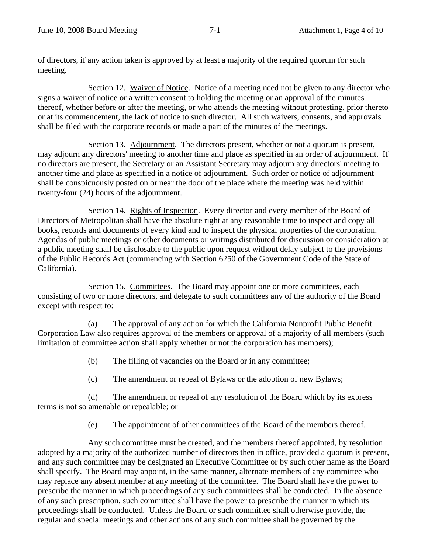of directors, if any action taken is approved by at least a majority of the required quorum for such meeting.

Section 12. Waiver of Notice. Notice of a meeting need not be given to any director who signs a waiver of notice or a written consent to holding the meeting or an approval of the minutes thereof, whether before or after the meeting, or who attends the meeting without protesting, prior thereto or at its commencement, the lack of notice to such director. All such waivers, consents, and approvals shall be filed with the corporate records or made a part of the minutes of the meetings.

Section 13. Adjournment. The directors present, whether or not a quorum is present, may adjourn any directors' meeting to another time and place as specified in an order of adjournment. If no directors are present, the Secretary or an Assistant Secretary may adjourn any directors' meeting to another time and place as specified in a notice of adjournment. Such order or notice of adjournment shall be conspicuously posted on or near the door of the place where the meeting was held within twenty-four (24) hours of the adjournment.

Section 14. Rights of Inspection. Every director and every member of the Board of Directors of Metropolitan shall have the absolute right at any reasonable time to inspect and copy all books, records and documents of every kind and to inspect the physical properties of the corporation. Agendas of public meetings or other documents or writings distributed for discussion or consideration at a public meeting shall be disclosable to the public upon request without delay subject to the provisions of the Public Records Act (commencing with Section 6250 of the Government Code of the State of California).

Section 15. Committees. The Board may appoint one or more committees, each consisting of two or more directors, and delegate to such committees any of the authority of the Board except with respect to:

(a) The approval of any action for which the California Nonprofit Public Benefit Corporation Law also requires approval of the members or approval of a majority of all members (such limitation of committee action shall apply whether or not the corporation has members);

(b) The filling of vacancies on the Board or in any committee;

(c) The amendment or repeal of Bylaws or the adoption of new Bylaws;

(d) The amendment or repeal of any resolution of the Board which by its express terms is not so amenable or repealable; or

(e) The appointment of other committees of the Board of the members thereof.

Any such committee must be created, and the members thereof appointed, by resolution adopted by a majority of the authorized number of directors then in office, provided a quorum is present, and any such committee may be designated an Executive Committee or by such other name as the Board shall specify. The Board may appoint, in the same manner, alternate members of any committee who may replace any absent member at any meeting of the committee. The Board shall have the power to prescribe the manner in which proceedings of any such committees shall be conducted. In the absence of any such prescription, such committee shall have the power to prescribe the manner in which its proceedings shall be conducted. Unless the Board or such committee shall otherwise provide, the regular and special meetings and other actions of any such committee shall be governed by the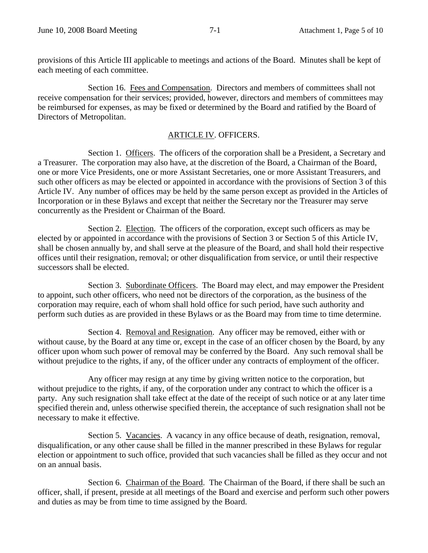provisions of this Article III applicable to meetings and actions of the Board. Minutes shall be kept of each meeting of each committee.

Section 16. Fees and Compensation. Directors and members of committees shall not receive compensation for their services; provided, however, directors and members of committees may be reimbursed for expenses, as may be fixed or determined by the Board and ratified by the Board of Directors of Metropolitan.

# ARTICLE IV. OFFICERS.

Section 1. Officers. The officers of the corporation shall be a President, a Secretary and a Treasurer. The corporation may also have, at the discretion of the Board, a Chairman of the Board, one or more Vice Presidents, one or more Assistant Secretaries, one or more Assistant Treasurers, and such other officers as may be elected or appointed in accordance with the provisions of Section 3 of this Article IV. Any number of offices may be held by the same person except as provided in the Articles of Incorporation or in these Bylaws and except that neither the Secretary nor the Treasurer may serve concurrently as the President or Chairman of the Board.

Section 2. Election. The officers of the corporation, except such officers as may be elected by or appointed in accordance with the provisions of Section 3 or Section 5 of this Article IV, shall be chosen annually by, and shall serve at the pleasure of the Board, and shall hold their respective offices until their resignation, removal; or other disqualification from service, or until their respective successors shall be elected.

Section 3. Subordinate Officers. The Board may elect, and may empower the President to appoint, such other officers, who need not be directors of the corporation, as the business of the corporation may require, each of whom shall hold office for such period, have such authority and perform such duties as are provided in these Bylaws or as the Board may from time to time determine.

Section 4. Removal and Resignation. Any officer may be removed, either with or without cause, by the Board at any time or, except in the case of an officer chosen by the Board, by any officer upon whom such power of removal may be conferred by the Board. Any such removal shall be without prejudice to the rights, if any, of the officer under any contracts of employment of the officer.

Any officer may resign at any time by giving written notice to the corporation, but without prejudice to the rights, if any, of the corporation under any contract to which the officer is a party. Any such resignation shall take effect at the date of the receipt of such notice or at any later time specified therein and, unless otherwise specified therein, the acceptance of such resignation shall not be necessary to make it effective.

Section 5. Vacancies. A vacancy in any office because of death, resignation, removal, disqualification, or any other cause shall be filled in the manner prescribed in these Bylaws for regular election or appointment to such office, provided that such vacancies shall be filled as they occur and not on an annual basis.

Section 6. Chairman of the Board. The Chairman of the Board, if there shall be such an officer, shall, if present, preside at all meetings of the Board and exercise and perform such other powers and duties as may be from time to time assigned by the Board.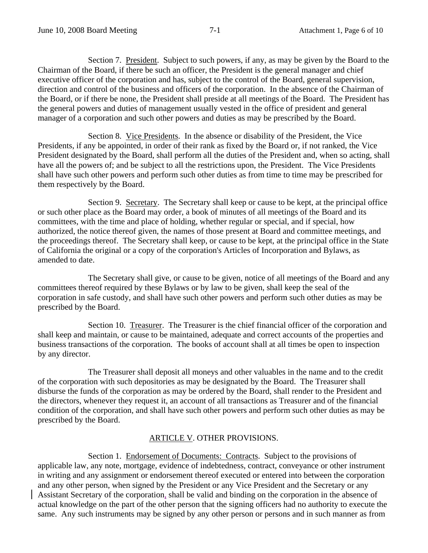Section 7. President. Subject to such powers, if any, as may be given by the Board to the Chairman of the Board, if there be such an officer, the President is the general manager and chief executive officer of the corporation and has, subject to the control of the Board, general supervision, direction and control of the business and officers of the corporation. In the absence of the Chairman of the Board, or if there be none, the President shall preside at all meetings of the Board. The President has the general powers and duties of management usually vested in the office of president and general manager of a corporation and such other powers and duties as may be prescribed by the Board.

Section 8. Vice Presidents. In the absence or disability of the President, the Vice Presidents, if any be appointed, in order of their rank as fixed by the Board or, if not ranked, the Vice President designated by the Board, shall perform all the duties of the President and, when so acting, shall have all the powers of; and be subject to all the restrictions upon, the President. The Vice Presidents shall have such other powers and perform such other duties as from time to time may be prescribed for them respectively by the Board.

Section 9. Secretary. The Secretary shall keep or cause to be kept, at the principal office or such other place as the Board may order, a book of minutes of all meetings of the Board and its committees, with the time and place of holding, whether regular or special, and if special, how authorized, the notice thereof given, the names of those present at Board and committee meetings, and the proceedings thereof. The Secretary shall keep, or cause to be kept, at the principal office in the State of California the original or a copy of the corporation's Articles of Incorporation and Bylaws, as amended to date.

The Secretary shall give, or cause to be given, notice of all meetings of the Board and any committees thereof required by these Bylaws or by law to be given, shall keep the seal of the corporation in safe custody, and shall have such other powers and perform such other duties as may be prescribed by the Board.

Section 10. Treasurer. The Treasurer is the chief financial officer of the corporation and shall keep and maintain, or cause to be maintained, adequate and correct accounts of the properties and business transactions of the corporation. The books of account shall at all times be open to inspection by any director.

The Treasurer shall deposit all moneys and other valuables in the name and to the credit of the corporation with such depositories as may be designated by the Board. The Treasurer shall disburse the funds of the corporation as may be ordered by the Board, shall render to the President and the directors, whenever they request it, an account of all transactions as Treasurer and of the financial condition of the corporation, and shall have such other powers and perform such other duties as may be prescribed by the Board.

### ARTICLE V. OTHER PROVISIONS.

Section 1. Endorsement of Documents: Contracts. Subject to the provisions of applicable law, any note, mortgage, evidence of indebtedness, contract, conveyance or other instrument in writing and any assignment or endorsement thereof executed or entered into between the corporation and any other person, when signed by the President or any Vice President and the Secretary or any Assistant Secretary of the corporation, shall be valid and binding on the corporation in the absence of actual knowledge on the part of the other person that the signing officers had no authority to execute the same. Any such instruments may be signed by any other person or persons and in such manner as from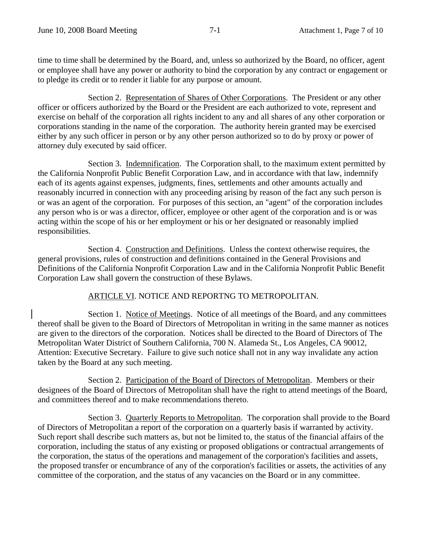time to time shall be determined by the Board, and, unless so authorized by the Board, no officer, agent or employee shall have any power or authority to bind the corporation by any contract or engagement or to pledge its credit or to render it liable for any purpose or amount.

Section 2. Representation of Shares of Other Corporations. The President or any other officer or officers authorized by the Board or the President are each authorized to vote, represent and exercise on behalf of the corporation all rights incident to any and all shares of any other corporation or corporations standing in the name of the corporation. The authority herein granted may be exercised either by any such officer in person or by any other person authorized so to do by proxy or power of attorney duly executed by said officer.

Section 3. Indemnification. The Corporation shall, to the maximum extent permitted by the California Nonprofit Public Benefit Corporation Law, and in accordance with that law, indemnify each of its agents against expenses, judgments, fines, settlements and other amounts actually and reasonably incurred in connection with any proceeding arising by reason of the fact any such person is or was an agent of the corporation. For purposes of this section, an "agent" of the corporation includes any person who is or was a director, officer, employee or other agent of the corporation and is or was acting within the scope of his or her employment or his or her designated or reasonably implied responsibilities.

Section 4. Construction and Definitions. Unless the context otherwise requires, the general provisions, rules of construction and definitions contained in the General Provisions and Definitions of the California Nonprofit Corporation Law and in the California Nonprofit Public Benefit Corporation Law shall govern the construction of these Bylaws.

# ARTICLE VI. NOTICE AND REPORTNG TO METROPOLITAN.

Section 1. Notice of Meetings. Notice of all meetings of the Board, and any committees thereof shall be given to the Board of Directors of Metropolitan in writing in the same manner as notices are given to the directors of the corporation. Notices shall be directed to the Board of Directors of The Metropolitan Water District of Southern California, 700 N. Alameda St., Los Angeles, CA 90012, Attention: Executive Secretary. Failure to give such notice shall not in any way invalidate any action taken by the Board at any such meeting.

Section 2. Participation of the Board of Directors of Metropolitan. Members or their designees of the Board of Directors of Metropolitan shall have the right to attend meetings of the Board, and committees thereof and to make recommendations thereto.

Section 3. Quarterly Reports to Metropolitan. The corporation shall provide to the Board of Directors of Metropolitan a report of the corporation on a quarterly basis if warranted by activity. Such report shall describe such matters as, but not be limited to, the status of the financial affairs of the corporation, including the status of any existing or proposed obligations or contractual arrangements of the corporation, the status of the operations and management of the corporation's facilities and assets, the proposed transfer or encumbrance of any of the corporation's facilities or assets, the activities of any committee of the corporation, and the status of any vacancies on the Board or in any committee.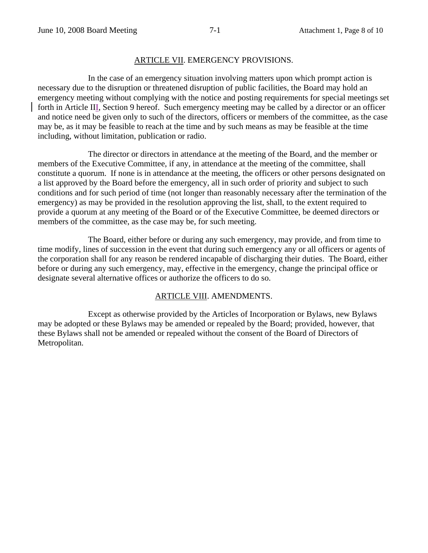#### ARTICLE VII. EMERGENCY PROVISIONS.

In the case of an emergency situation involving matters upon which prompt action is necessary due to the disruption or threatened disruption of public facilities, the Board may hold an emergency meeting without complying with the notice and posting requirements for special meetings set forth in Article III, Section 9 hereof. Such emergency meeting may be called by a director or an officer and notice need be given only to such of the directors, officers or members of the committee, as the case may be, as it may be feasible to reach at the time and by such means as may be feasible at the time including, without limitation, publication or radio.

The director or directors in attendance at the meeting of the Board, and the member or members of the Executive Committee, if any, in attendance at the meeting of the committee, shall constitute a quorum. If none is in attendance at the meeting, the officers or other persons designated on a list approved by the Board before the emergency, all in such order of priority and subject to such conditions and for such period of time (not longer than reasonably necessary after the termination of the emergency) as may be provided in the resolution approving the list, shall, to the extent required to provide a quorum at any meeting of the Board or of the Executive Committee, be deemed directors or members of the committee, as the case may be, for such meeting.

The Board, either before or during any such emergency, may provide, and from time to time modify, lines of succession in the event that during such emergency any or all officers or agents of the corporation shall for any reason be rendered incapable of discharging their duties. The Board, either before or during any such emergency, may, effective in the emergency, change the principal office or designate several alternative offices or authorize the officers to do so.

### ARTICLE VIII. AMENDMENTS.

Except as otherwise provided by the Articles of Incorporation or Bylaws, new Bylaws may be adopted or these Bylaws may be amended or repealed by the Board; provided, however, that these Bylaws shall not be amended or repealed without the consent of the Board of Directors of Metropolitan.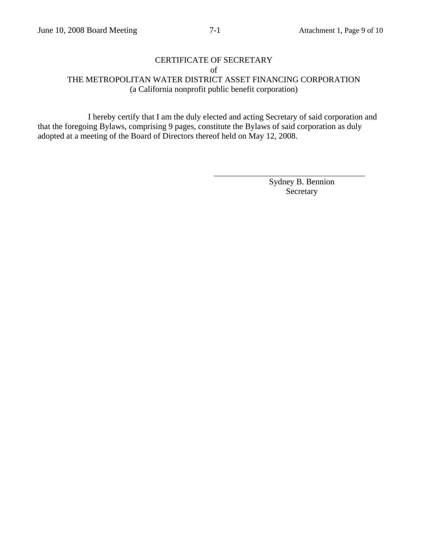# CERTIFICATE OF SECRETARY

of

THE METROPOLITAN WATER DISTRICT ASSET FINANCING CORPORATION (a California nonprofit public benefit corporation)

I hereby certify that I am the duly elected and acting Secretary of said corporation and that the foregoing Bylaws, comprising 9 pages, constitute the Bylaws of said corporation as duly adopted at a meeting of the Board of Directors thereof held on May 12, 2008.

 $\overline{a}$ 

Sydney B. Bennion Secretary